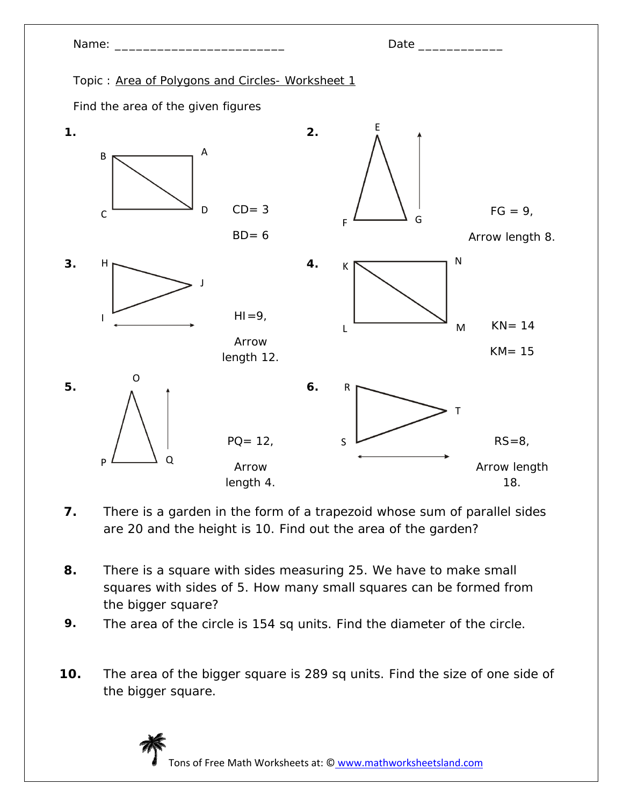

- **7.** There is a garden in the form of a trapezoid whose sum of parallel sides are 20 and the height is 10. Find out the area of the garden?
- **8.** There is a square with sides measuring 25. We have to make small squares with sides of 5. How many small squares can be formed from the bigger square?
- **9.** The area of the circle is 154 sq units. Find the diameter of the circle.
- **10.** The area of the bigger square is 289 sq units. Find the size of one side of the bigger square.



Tons of Free Math Worksheets at: © www.mathworksheetsland.com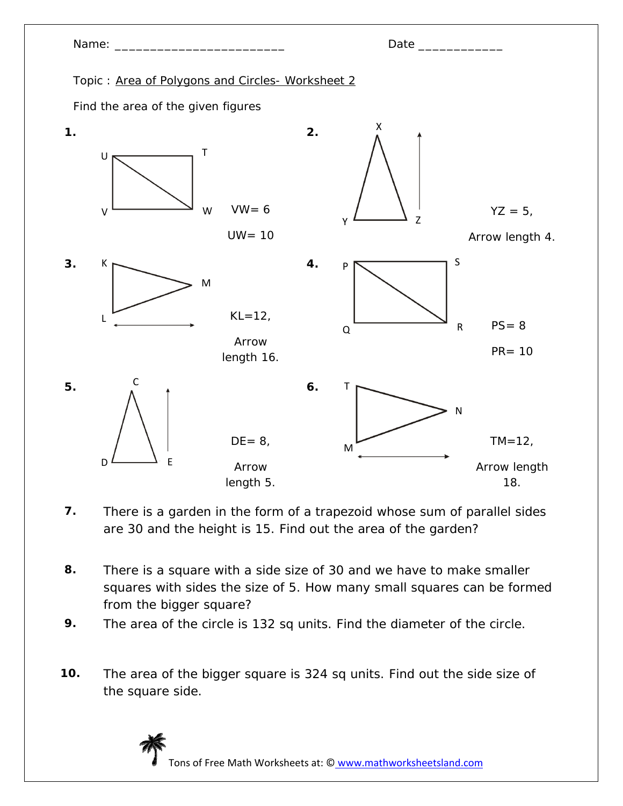

- **7.** There is a garden in the form of a trapezoid whose sum of parallel sides are 30 and the height is 15. Find out the area of the garden?
- **8.** There is a square with a side size of 30 and we have to make smaller squares with sides the size of 5. How many small squares can be formed from the bigger square?
- **9.** The area of the circle is 132 sq units. Find the diameter of the circle.
- **10.** The area of the bigger square is 324 sq units. Find out the side size of the square side.

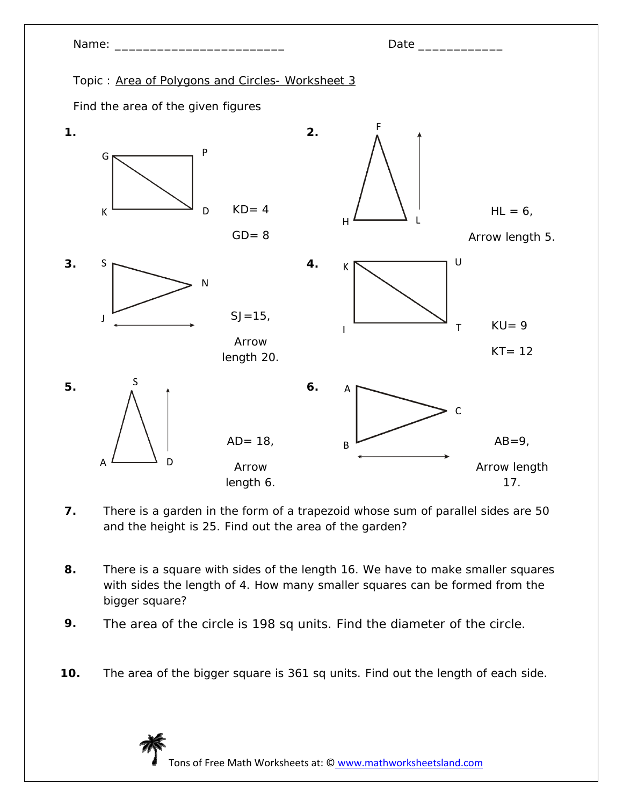

- **7.** There is a garden in the form of a trapezoid whose sum of parallel sides are 50 and the height is 25. Find out the area of the garden?
- **8.** There is a square with sides of the length 16. We have to make smaller squares with sides the length of 4. How many smaller squares can be formed from the bigger square?
- **9.** The area of the circle is 198 sq units. Find the diameter of the circle.
- **10.** The area of the bigger square is 361 sq units. Find out the length of each side.

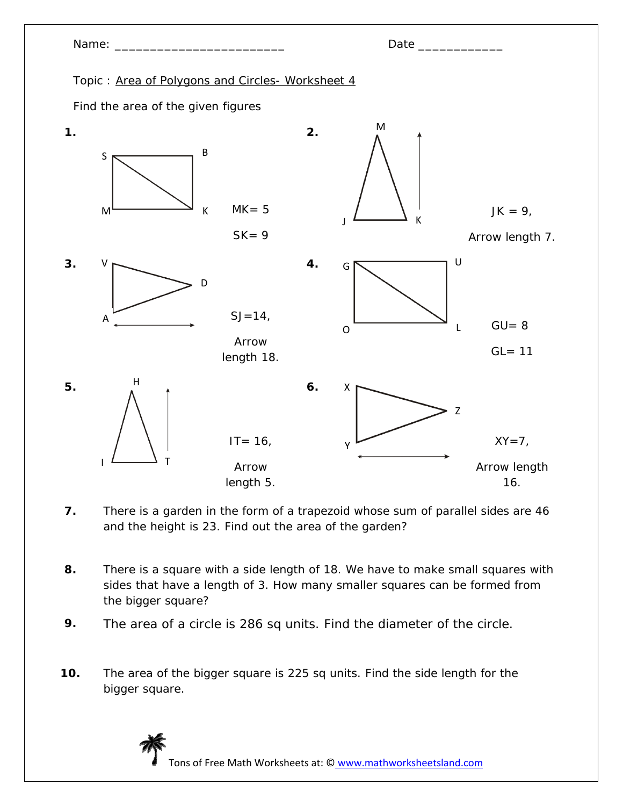

- **7.** There is a garden in the form of a trapezoid whose sum of parallel sides are 46 and the height is 23. Find out the area of the garden?
- **8.** There is a square with a side length of 18. We have to make small squares with sides that have a length of 3. How many smaller squares can be formed from the bigger square?
- **9.** The area of a circle is 286 sq units. Find the diameter of the circle.
- **10.** The area of the bigger square is 225 sq units. Find the side length for the bigger square.